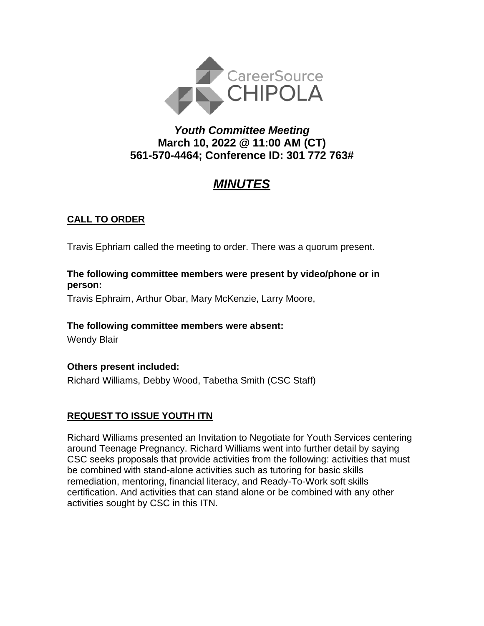

## *Youth Committee Meeting* **March 10, 2022 @ 11:00 AM (CT) 561-570-4464; Conference ID: 301 772 763#**

# *MINUTES*

## **CALL TO ORDER**

Travis Ephriam called the meeting to order. There was a quorum present.

#### **The following committee members were present by video/phone or in person:**

Travis Ephraim, Arthur Obar, Mary McKenzie, Larry Moore,

#### **The following committee members were absent:**

Wendy Blair

**Others present included:**

Richard Williams, Debby Wood, Tabetha Smith (CSC Staff)

## **REQUEST TO ISSUE YOUTH ITN**

Richard Williams presented an Invitation to Negotiate for Youth Services centering around Teenage Pregnancy. Richard Williams went into further detail by saying CSC seeks proposals that provide activities from the following: activities that must be combined with stand-alone activities such as tutoring for basic skills remediation, mentoring, financial literacy, and Ready-To-Work soft skills certification. And activities that can stand alone or be combined with any other activities sought by CSC in this ITN.